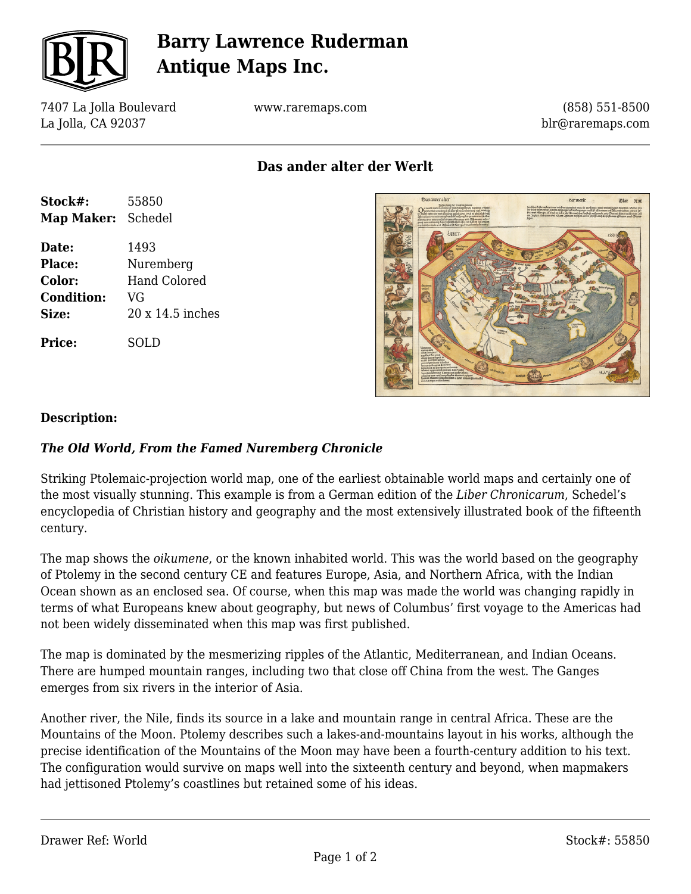

# **Barry Lawrence Ruderman Antique Maps Inc.**

7407 La Jolla Boulevard La Jolla, CA 92037

www.raremaps.com

(858) 551-8500 blr@raremaps.com

**Das ander alter der Werlt**

| Stock#:           | 55850               |
|-------------------|---------------------|
| <b>Map Maker:</b> | Schedel             |
| Date:             | 1493                |
| <b>Place:</b>     | Nuremberg           |
| Color:            | <b>Hand Colored</b> |
| <b>Condition:</b> | VG                  |
| Size:             | 20 x 14.5 inches    |
| <b>Price:</b>     | SOLD                |



#### **Description:**

### *The Old World, From the Famed Nuremberg Chronicle*

Striking Ptolemaic-projection world map, one of the earliest obtainable world maps and certainly one of the most visually stunning. This example is from a German edition of the *Liber Chronicarum*, Schedel's encyclopedia of Christian history and geography and the most extensively illustrated book of the fifteenth century.

The map shows the *oikumene*, or the known inhabited world. This was the world based on the geography of Ptolemy in the second century CE and features Europe, Asia, and Northern Africa, with the Indian Ocean shown as an enclosed sea. Of course, when this map was made the world was changing rapidly in terms of what Europeans knew about geography, but news of Columbus' first voyage to the Americas had not been widely disseminated when this map was first published.

The map is dominated by the mesmerizing ripples of the Atlantic, Mediterranean, and Indian Oceans. There are humped mountain ranges, including two that close off China from the west. The Ganges emerges from six rivers in the interior of Asia.

Another river, the Nile, finds its source in a lake and mountain range in central Africa. These are the Mountains of the Moon. Ptolemy describes such a lakes-and-mountains layout in his works, although the precise identification of the Mountains of the Moon may have been a fourth-century addition to his text. The configuration would survive on maps well into the sixteenth century and beyond, when mapmakers had jettisoned Ptolemy's coastlines but retained some of his ideas.